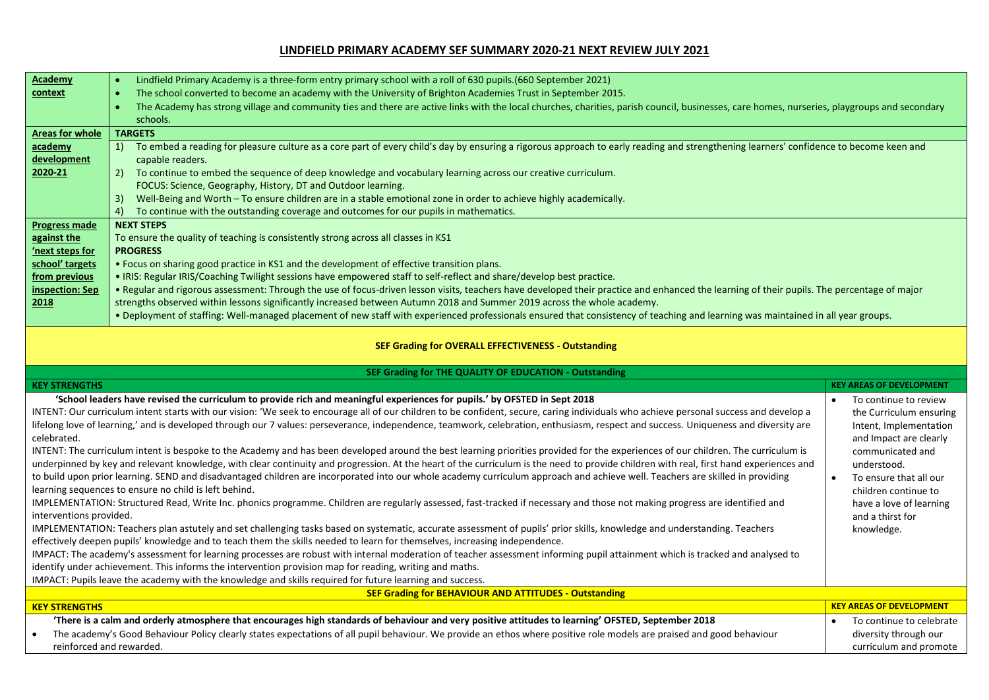## **LINDFIELD PRIMARY ACADEMY SEF SUMMARY 2020-21 NEXT REVIEW JULY 2021**

| <b>Academy</b>                                                                                                                                                                                          | Lindfield Primary Academy is a three-form entry primary school with a roll of 630 pupils. (660 September 2021)<br>$\bullet$                                                                               |                                                   |  |  |  |  |
|---------------------------------------------------------------------------------------------------------------------------------------------------------------------------------------------------------|-----------------------------------------------------------------------------------------------------------------------------------------------------------------------------------------------------------|---------------------------------------------------|--|--|--|--|
| context                                                                                                                                                                                                 | The school converted to become an academy with the University of Brighton Academies Trust in September 2015.                                                                                              |                                                   |  |  |  |  |
|                                                                                                                                                                                                         | The Academy has strong village and community ties and there are active links with the local churches, charities, parish council, businesses, care homes, nurseries, playgroups and secondary<br>$\bullet$ |                                                   |  |  |  |  |
|                                                                                                                                                                                                         | schools.                                                                                                                                                                                                  |                                                   |  |  |  |  |
| Areas for whole                                                                                                                                                                                         | <b>TARGETS</b>                                                                                                                                                                                            |                                                   |  |  |  |  |
| academy                                                                                                                                                                                                 | To embed a reading for pleasure culture as a core part of every child's day by ensuring a rigorous approach to early reading and strengthening learners' confidence to become keen and<br>1)              |                                                   |  |  |  |  |
| development                                                                                                                                                                                             | capable readers.                                                                                                                                                                                          |                                                   |  |  |  |  |
| 2020-21                                                                                                                                                                                                 | To continue to embed the sequence of deep knowledge and vocabulary learning across our creative curriculum.<br>2)                                                                                         |                                                   |  |  |  |  |
|                                                                                                                                                                                                         | FOCUS: Science, Geography, History, DT and Outdoor learning.                                                                                                                                              |                                                   |  |  |  |  |
|                                                                                                                                                                                                         | Well-Being and Worth - To ensure children are in a stable emotional zone in order to achieve highly academically.<br>3)                                                                                   |                                                   |  |  |  |  |
|                                                                                                                                                                                                         | To continue with the outstanding coverage and outcomes for our pupils in mathematics.<br>4)                                                                                                               |                                                   |  |  |  |  |
| <b>Progress made</b>                                                                                                                                                                                    | <b>NEXT STEPS</b>                                                                                                                                                                                         |                                                   |  |  |  |  |
| against the                                                                                                                                                                                             | To ensure the quality of teaching is consistently strong across all classes in KS1                                                                                                                        |                                                   |  |  |  |  |
| 'next steps for                                                                                                                                                                                         | <b>PROGRESS</b>                                                                                                                                                                                           |                                                   |  |  |  |  |
| school' targets                                                                                                                                                                                         | . Focus on sharing good practice in KS1 and the development of effective transition plans.                                                                                                                |                                                   |  |  |  |  |
| from previous                                                                                                                                                                                           | . IRIS: Regular IRIS/Coaching Twilight sessions have empowered staff to self-reflect and share/develop best practice.                                                                                     |                                                   |  |  |  |  |
| inspection: Sep                                                                                                                                                                                         | . Regular and rigorous assessment: Through the use of focus-driven lesson visits, teachers have developed their practice and enhanced the learning of their pupils. The percentage of major               |                                                   |  |  |  |  |
| 2018                                                                                                                                                                                                    | strengths observed within lessons significantly increased between Autumn 2018 and Summer 2019 across the whole academy.                                                                                   |                                                   |  |  |  |  |
|                                                                                                                                                                                                         | . Deployment of staffing: Well-managed placement of new staff with experienced professionals ensured that consistency of teaching and learning was maintained in all year groups.                         |                                                   |  |  |  |  |
| <b>SEF Grading for OVERALL EFFECTIVENESS - Outstanding</b><br>SEF Grading for THE QUALITY OF EDUCATION - Outstanding                                                                                    |                                                                                                                                                                                                           |                                                   |  |  |  |  |
| <b>KEY STRENGTHS</b>                                                                                                                                                                                    |                                                                                                                                                                                                           | <b>KEY AREAS OF DEVELOPMENT</b>                   |  |  |  |  |
|                                                                                                                                                                                                         | 'School leaders have revised the curriculum to provide rich and meaningful experiences for pupils.' by OFSTED in Sept 2018                                                                                | To continue to review                             |  |  |  |  |
| INTENT: Our curriculum intent starts with our vision: 'We seek to encourage all of our children to be confident, secure, caring individuals who achieve personal success and develop a                  |                                                                                                                                                                                                           |                                                   |  |  |  |  |
|                                                                                                                                                                                                         | lifelong love of learning,' and is developed through our 7 values: perseverance, independence, teamwork, celebration, enthusiasm, respect and success. Uniqueness and diversity are                       | the Curriculum ensuring<br>Intent, Implementation |  |  |  |  |
| celebrated.                                                                                                                                                                                             |                                                                                                                                                                                                           |                                                   |  |  |  |  |
|                                                                                                                                                                                                         | INTENT: The curriculum intent is bespoke to the Academy and has been developed around the best learning priorities provided for the experiences of our children. The curriculum is                        |                                                   |  |  |  |  |
| underpinned by key and relevant knowledge, with clear continuity and progression. At the heart of the curriculum is the need to provide children with real, first hand experiences and                  |                                                                                                                                                                                                           |                                                   |  |  |  |  |
| to build upon prior learning. SEND and disadvantaged children are incorporated into our whole academy curriculum approach and achieve well. Teachers are skilled in providing<br>To ensure that all our |                                                                                                                                                                                                           |                                                   |  |  |  |  |
| learning sequences to ensure no child is left behind.<br>children continue to                                                                                                                           |                                                                                                                                                                                                           |                                                   |  |  |  |  |
| IMPLEMENTATION: Structured Read, Write Inc. phonics programme. Children are regularly assessed, fast-tracked if necessary and those not making progress are identified and<br>have a love of learning   |                                                                                                                                                                                                           |                                                   |  |  |  |  |
| interventions provided.<br>and a thirst for                                                                                                                                                             |                                                                                                                                                                                                           |                                                   |  |  |  |  |
| IMPLEMENTATION: Teachers plan astutely and set challenging tasks based on systematic, accurate assessment of pupils' prior skills, knowledge and understanding. Teachers<br>knowledge.                  |                                                                                                                                                                                                           |                                                   |  |  |  |  |
| effectively deepen pupils' knowledge and to teach them the skills needed to learn for themselves, increasing independence.                                                                              |                                                                                                                                                                                                           |                                                   |  |  |  |  |
|                                                                                                                                                                                                         |                                                                                                                                                                                                           |                                                   |  |  |  |  |
|                                                                                                                                                                                                         | IMPACT: The academy's assessment for learning processes are robust with internal moderation of teacher assessment informing pupil attainment which is tracked and analysed to                             |                                                   |  |  |  |  |
|                                                                                                                                                                                                         | identify under achievement. This informs the intervention provision map for reading, writing and maths.                                                                                                   |                                                   |  |  |  |  |
|                                                                                                                                                                                                         | IMPACT: Pupils leave the academy with the knowledge and skills required for future learning and success.                                                                                                  |                                                   |  |  |  |  |
|                                                                                                                                                                                                         | <b>SEF Grading for BEHAVIOUR AND ATTITUDES - Outstanding</b>                                                                                                                                              |                                                   |  |  |  |  |
| <b>KEY STRENGTHS</b>                                                                                                                                                                                    |                                                                                                                                                                                                           | <b>KEY AREAS OF DEVELOPMENT</b>                   |  |  |  |  |
|                                                                                                                                                                                                         | 'There is a calm and orderly atmosphere that encourages high standards of behaviour and very positive attitudes to learning' OFSTED, September 2018                                                       | To continue to celebrate                          |  |  |  |  |
| reinforced and rewarded.                                                                                                                                                                                | The academy's Good Behaviour Policy clearly states expectations of all pupil behaviour. We provide an ethos where positive role models are praised and good behaviour                                     | diversity through our<br>curriculum and promote   |  |  |  |  |